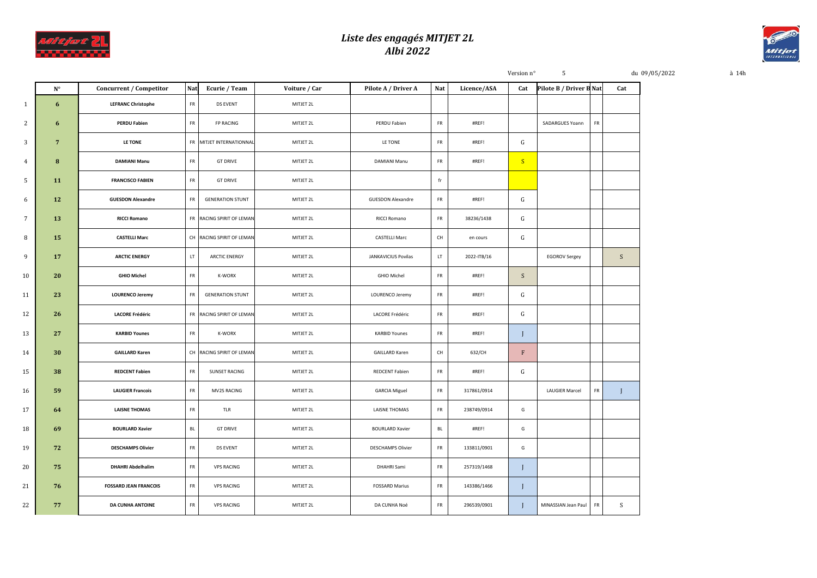

## *Liste des engagés MITJET 2L Albi 2022*



|                 |                 |                              |            |                           |               |                            |            |             | Version n°                | 5                       |    |     | du 09/05/2022 | à 14h |
|-----------------|-----------------|------------------------------|------------|---------------------------|---------------|----------------------------|------------|-------------|---------------------------|-------------------------|----|-----|---------------|-------|
|                 | $N^{\circ}$     | Concurrent / Competitor      | Nat        | Ecurie / Team             | Voiture / Car | Pilote A / Driver A        | Nat        | Licence/ASA | Cat                       | Pilote B / Driver B Nat |    | Cat |               |       |
| $\mathbf{1}$    | 6               | <b>LEFRANC Christophe</b>    | FR         | DS EVENT                  | MITJET 2L     |                            |            |             |                           |                         |    |     |               |       |
| $\mathbf{2}$    | 6               | <b>PERDU Fabien</b>          | FR         | <b>FP RACING</b>          | MITJET 2L     | PERDU Fabien               | FR         | #REF!       |                           | SADARGUES Yoann         | FR |     |               |       |
| $\mathbf{3}$    | $7\phantom{.0}$ | LE TONE                      |            | FR MITJET INTERNATIONNAL  | MITJET 2L     | LE TONE                    | FR         | #REF!       | G                         |                         |    |     |               |       |
| $\overline{4}$  | 8               | <b>DAMIANI Manu</b>          | ${\sf FR}$ | <b>GT DRIVE</b>           | MITJET 2L     | DAMIANI Manu               | FR         | #REF!       | S                         |                         |    |     |               |       |
| 5 <sub>1</sub>  | 11              | <b>FRANCISCO FABIEN</b>      | FR         | <b>GT DRIVE</b>           | MITJET 2L     |                            | fr         |             |                           |                         |    |     |               |       |
| 6               | 12              | <b>GUESDON Alexandre</b>     | FR         | <b>GENERATION STUNT</b>   | MITJET 2L     | <b>GUESDON Alexandre</b>   | FR         | #REF!       | G                         |                         |    |     |               |       |
| $7^{\circ}$     | 13              | <b>RICCI Romano</b>          |            | FR RACING SPIRIT OF LEMAN | MITJET 2L     | RICCI Romano               | FR         | 38236/1438  | G                         |                         |    |     |               |       |
| 8               | 15              | <b>CASTELLI Marc</b>         |            | CH RACING SPIRIT OF LEMAN | MITJET 2L     | <b>CASTELLI Marc</b>       | CH         | en cours    | G                         |                         |    |     |               |       |
| 9               | 17              | <b>ARCTIC ENERGY</b>         | LT.        | <b>ARCTIC ENERGY</b>      | MITJET 2L     | <b>JANKAVICIUS Povilas</b> | LT.        | 2022-ITB/16 |                           | <b>EGOROV Sergey</b>    |    | S   |               |       |
| 10 <sub>1</sub> | 20              | <b>GHIO Michel</b>           | FR         | K-WORX                    | MITJET 2L     | GHIO Michel                | FR         | #REF!       | S                         |                         |    |     |               |       |
| 11              | 23              | <b>LOURENCO Jeremy</b>       | FR         | <b>GENERATION STUNT</b>   | MITJET 2L     | LOURENCO Jeremy            | FR         | #REF!       | G                         |                         |    |     |               |       |
| 12              | 26              | <b>LACORE Frédéric</b>       |            | FR RACING SPIRIT OF LEMAN | MITJET 2L     | LACORE Frédéric            | FR         | #REF!       | G                         |                         |    |     |               |       |
| 13              | 27              | <b>KARBID Younes</b>         | FR         | K-WORX                    | MITJET 2L     | <b>KARBID Younes</b>       | FR         | #REF!       | $\mathbf{I}$              |                         |    |     |               |       |
| 14              | 30              | <b>GAILLARD Karen</b>        |            | CH RACING SPIRIT OF LEMAN | MITJET 2L     | <b>GAILLARD Karen</b>      | CH         | 632/CH      | $\boldsymbol{\mathrm{F}}$ |                         |    |     |               |       |
| 15              | 38              | <b>REDCENT Fabien</b>        | FR         | SUNSET RACING             | MITJET 2L     | REDCENT Fabien             | FR         | #REF!       | G                         |                         |    |     |               |       |
| 16              | 59              | <b>LAUGIER Francois</b>      | ${\sf FR}$ | MV2S RACING               | MITJET 2L     | <b>GARCIA Miguel</b>       | FR         | 317861/0914 |                           | <b>LAUGIER Marcel</b>   | FR | J   |               |       |
| 17              | 64              | <b>LAISNE THOMAS</b>         | FR         | TLR                       | MITJET 2L     | LAISNE THOMAS              | FR         | 238749/0914 | G                         |                         |    |     |               |       |
| 18              | 69              | <b>BOURLARD Xavier</b>       | <b>BL</b>  | <b>GT DRIVE</b>           | MITJET 2L     | <b>BOURLARD Xavier</b>     | <b>BL</b>  | #REF!       | G                         |                         |    |     |               |       |
| 19              | 72              | <b>DESCHAMPS Olivier</b>     | FR         | DS EVENT                  | MITJET 2L     | <b>DESCHAMPS Olivier</b>   | ${\sf FR}$ | 133811/0901 | G                         |                         |    |     |               |       |
| 20              | 75              | <b>DHAHRI Abdelhalim</b>     | FR         | <b>VPS RACING</b>         | MITJET 2L     | DHAHRI Sami                | ${\sf FR}$ | 257319/1468 | J                         |                         |    |     |               |       |
| 21              | 76              | <b>FOSSARD JEAN FRANCOIS</b> | FR         | <b>VPS RACING</b>         | MITJET 2L     | <b>FOSSARD Marius</b>      | FR         | 143386/1466 | J                         |                         |    |     |               |       |
| 22              | 77              | <b>DA CUNHA ANTOINE</b>      | FR         | <b>VPS RACING</b>         | MITJET 2L     | DA CUNHA Noé               | FR         | 296539/0901 | $\mathbf I$               | MINASSIAN Jean Paul     | FR | S   |               |       |